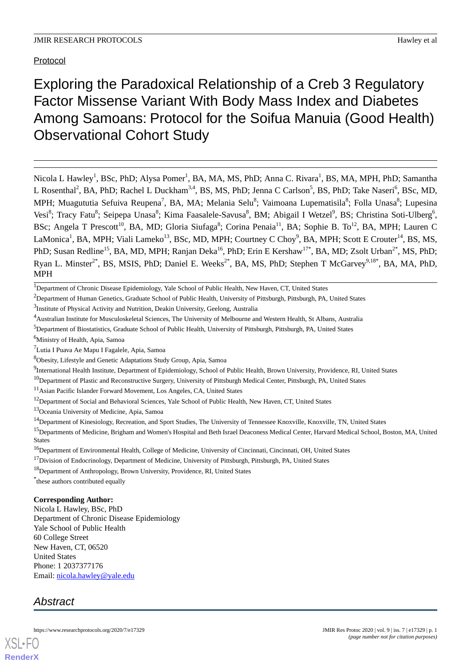# Protocol

Exploring the Paradoxical Relationship of a Creb 3 Regulatory Factor Missense Variant With Body Mass Index and Diabetes Among Samoans: Protocol for the Soifua Manuia (Good Health) Observational Cohort Study

Nicola L Hawley<sup>1</sup>, BSc, PhD; Alysa Pomer<sup>1</sup>, BA, MA, MS, PhD; Anna C. Rivara<sup>1</sup>, BS, MA, MPH, PhD; Samantha L Rosenthal<sup>2</sup>, BA, PhD; Rachel L Duckham<sup>3,4</sup>, BS, MS, PhD; Jenna C Carlson<sup>5</sup>, BS, PhD; Take Naseri<sup>6</sup>, BSc, MD, MPH; Muagututia Sefuiva Reupena<sup>7</sup>, BA, MA; Melania Selu<sup>8</sup>; Vaimoana Lupematisila<sup>8</sup>; Folla Unasa<sup>8</sup>; Lupesina Vesi<sup>8</sup>; Tracy Fatu<sup>8</sup>; Seipepa Unasa<sup>8</sup>; Kima Faasalele-Savusa<sup>8</sup>, BM; Abigail I Wetzel<sup>9</sup>, BS; Christina Soti-Ulberg<sup>6</sup>, BSc; Angela T Prescott<sup>10</sup>, BA, MD; Gloria Siufaga<sup>8</sup>; Corina Penaia<sup>11</sup>, BA; Sophie B. To<sup>12</sup>, BA, MPH; Lauren C LaMonica<sup>1</sup>, BA, MPH; Viali Lameko<sup>13</sup>, BSc, MD, MPH; Courtney C Choy<sup>9</sup>, BA, MPH; Scott E Crouter<sup>14</sup>, BS, MS, PhD; Susan Redline<sup>15</sup>, BA, MD, MPH; Ranjan Deka<sup>16</sup>, PhD; Erin E Kershaw<sup>17\*</sup>, BA, MD; Zsolt Urban<sup>2\*</sup>, MS, PhD; Ryan L. Minster<sup>2\*</sup>, BS, MSIS, PhD; Daniel E. Weeks<sup>2\*</sup>, BA, MS, PhD; Stephen T McGarvey<sup>9,18\*</sup>, BA, MA, PhD, MPH

<sup>1</sup>Department of Chronic Disease Epidemiology, Yale School of Public Health, New Haven, CT, United States

<sup>2</sup>Department of Human Genetics, Graduate School of Public Health, University of Pittsburgh, Pittsburgh, PA, United States

<sup>3</sup>Institute of Physical Activity and Nutrition, Deakin University, Geelong, Australia

<sup>4</sup>Australian Institute for Musculoskeletal Sciences, The University of Melbourne and Western Health, St Albans, Australia

<sup>5</sup>Department of Biostatistics, Graduate School of Public Health, University of Pittsburgh, Pittsburgh, PA, United States

<sup>6</sup>Ministry of Health, Apia, Samoa

<sup>7</sup>Lutia I Puava Ae Mapu I Fagalele, Apia, Samoa

<sup>8</sup>Obesity, Lifestyle and Genetic Adaptations Study Group, Apia, Samoa

<sup>9</sup>International Health Institute, Department of Epidemiology, School of Public Health, Brown University, Providence, RI, United States

<sup>10</sup>Department of Plastic and Reconstructive Surgery, University of Pittsburgh Medical Center, Pittsburgh, PA, United States

<sup>11</sup>Asian Pacific Islander Forward Movement, Los Angeles, CA, United States

<sup>12</sup>Department of Social and Behavioral Sciences, Yale School of Public Health, New Haven, CT, United States

<sup>13</sup>Oceania University of Medicine, Apia, Samoa

<sup>14</sup>Department of Kinesiology, Recreation, and Sport Studies, The University of Tennessee Knoxville, Knoxville, TN, United States

<sup>15</sup>Departments of Medicine, Brigham and Women's Hospital and Beth Israel Deaconess Medical Center, Harvard Medical School, Boston, MA, United States

<sup>16</sup>Department of Environmental Health, College of Medicine, University of Cincinnati, Cincinnati, OH, United States

<sup>17</sup>Division of Endocrinology, Department of Medicine, University of Pittsburgh, Pittsburgh, PA, United States

<sup>18</sup>Department of Anthropology, Brown University, Providence, RI, United States

\* these authors contributed equally

# **Corresponding Author:**

Nicola L Hawley, BSc, PhD Department of Chronic Disease Epidemiology Yale School of Public Health 60 College Street New Haven, CT, 06520 United States Phone: 1 2037377176 Email: [nicola.hawley@yale.edu](mailto:nicola.hawley@yale.edu)

# *Abstract*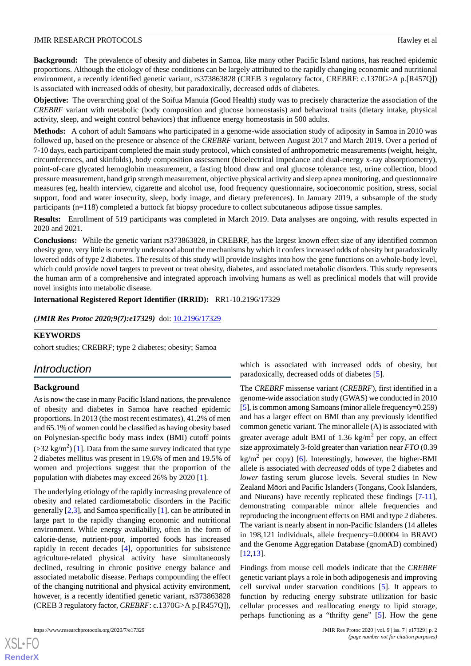**Background:** The prevalence of obesity and diabetes in Samoa, like many other Pacific Island nations, has reached epidemic proportions. Although the etiology of these conditions can be largely attributed to the rapidly changing economic and nutritional environment, a recently identified genetic variant, rs373863828 (CREB 3 regulatory factor, CREBRF: c.1370G>A p.[R457Q]) is associated with increased odds of obesity, but paradoxically, decreased odds of diabetes.

**Objective:** The overarching goal of the Soifua Manuia (Good Health) study was to precisely characterize the association of the *CREBRF* variant with metabolic (body composition and glucose homeostasis) and behavioral traits (dietary intake, physical activity, sleep, and weight control behaviors) that influence energy homeostasis in 500 adults.

**Methods:** A cohort of adult Samoans who participated in a genome-wide association study of adiposity in Samoa in 2010 was followed up, based on the presence or absence of the *CREBRF* variant, between August 2017 and March 2019. Over a period of 7-10 days, each participant completed the main study protocol, which consisted of anthropometric measurements (weight, height, circumferences, and skinfolds), body composition assessment (bioelectrical impedance and dual-energy x-ray absorptiometry), point-of-care glycated hemoglobin measurement, a fasting blood draw and oral glucose tolerance test, urine collection, blood pressure measurement, hand grip strength measurement, objective physical activity and sleep apnea monitoring, and questionnaire measures (eg, health interview, cigarette and alcohol use, food frequency questionnaire, socioeconomic position, stress, social support, food and water insecurity, sleep, body image, and dietary preferences). In January 2019, a subsample of the study participants (n=118) completed a buttock fat biopsy procedure to collect subcutaneous adipose tissue samples.

**Results:** Enrollment of 519 participants was completed in March 2019. Data analyses are ongoing, with results expected in 2020 and 2021.

**Conclusions:** While the genetic variant rs373863828, in CREBRF, has the largest known effect size of any identified common obesity gene, very little is currently understood about the mechanisms by which it confers increased odds of obesity but paradoxically lowered odds of type 2 diabetes. The results of this study will provide insights into how the gene functions on a whole-body level, which could provide novel targets to prevent or treat obesity, diabetes, and associated metabolic disorders. This study represents the human arm of a comprehensive and integrated approach involving humans as well as preclinical models that will provide novel insights into metabolic disease.

**International Registered Report Identifier (IRRID):** RR1-10.2196/17329

*(JMIR Res Protoc 2020;9(7):e17329)* doi: [10.2196/17329](http://dx.doi.org/10.2196/17329)

## **KEYWORDS**

cohort studies; CREBRF; type 2 diabetes; obesity; Samoa

# *Introduction*

## **Background**

As is now the case in many Pacific Island nations, the prevalence of obesity and diabetes in Samoa have reached epidemic proportions. In 2013 (the most recent estimates), 41.2% of men and 65.1% of women could be classified as having obesity based on Polynesian-specific body mass index (BMI) cutoff points  $(>= 32 \text{ kg/m}^2)$  [[1\]](#page-12-0). Data from the same survey indicated that type 2 diabetes mellitus was present in 19.6% of men and 19.5% of women and projections suggest that the proportion of the population with diabetes may exceed 26% by 2020 [\[1](#page-12-0)].

The underlying etiology of the rapidly increasing prevalence of obesity and related cardiometabolic disorders in the Pacific generally [\[2](#page-12-1),[3\]](#page-12-2), and Samoa specifically [\[1](#page-12-0)], can be attributed in large part to the rapidly changing economic and nutritional environment. While energy availability, often in the form of calorie-dense, nutrient-poor, imported foods has increased rapidly in recent decades [[4\]](#page-12-3), opportunities for subsistence agriculture-related physical activity have simultaneously declined, resulting in chronic positive energy balance and associated metabolic disease. Perhaps compounding the effect of the changing nutritional and physical activity environment, however, is a recently identified genetic variant, rs373863828 (CREB 3 regulatory factor, *CREBRF*: c.1370G>A p.[R457Q]),

[XSL](http://www.w3.org/Style/XSL)•FO **[RenderX](http://www.renderx.com/)**

which is associated with increased odds of obesity, but paradoxically, decreased odds of diabetes [\[5](#page-12-4)].

The *CREBRF* missense variant (*CREBRF*), first identified in a genome-wide association study (GWAS) we conducted in 2010 [[5\]](#page-12-4), is common among Samoans (minor allele frequency=0.259) and has a larger effect on BMI than any previously identified common genetic variant. The minor allele (A) is associated with greater average adult BMI of 1.36  $\text{kg/m}^2$  per copy, an effect size approximately 3-fold greater than variation near *FTO* (0.39  $\text{kg/m}^2$  per copy) [\[6](#page-12-5)]. Interestingly, however, the higher-BMI allele is associated with *decreased* odds of type 2 diabetes and *lower* fasting serum glucose levels. Several studies in New Zealand Māori and Pacific Islanders (Tongans, Cook Islanders, and Niueans) have recently replicated these findings [[7-](#page-12-6)[11\]](#page-12-7), demonstrating comparable minor allele frequencies and reproducing the incongruent effects on BMI and type 2 diabetes. The variant is nearly absent in non-Pacific Islanders (14 alleles in 198,121 individuals, allele frequency=0.00004 in BRAVO and the Genome Aggregation Database (gnomAD) combined) [[12,](#page-12-8)[13\]](#page-12-9).

Findings from mouse cell models indicate that the *CREBRF* genetic variant plays a role in both adipogenesis and improving cell survival under starvation conditions [\[5](#page-12-4)]. It appears to function by reducing energy substrate utilization for basic cellular processes and reallocating energy to lipid storage, perhaps functioning as a "thrifty gene" [[5\]](#page-12-4). How the gene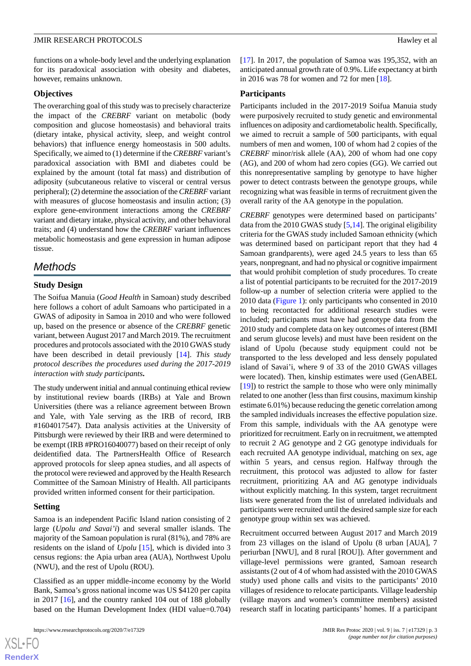functions on a whole-body level and the underlying explanation for its paradoxical association with obesity and diabetes, however, remains unknown.

### **Objectives**

The overarching goal of this study was to precisely characterize the impact of the *CREBRF* variant on metabolic (body composition and glucose homeostasis) and behavioral traits (dietary intake, physical activity, sleep, and weight control behaviors) that influence energy homeostasis in 500 adults. Specifically, we aimed to (1) determine if the *CREBRF* variant's paradoxical association with BMI and diabetes could be explained by the amount (total fat mass) and distribution of adiposity (subcutaneous relative to visceral or central versus peripheral); (2) determine the association of the *CREBRF* variant with measures of glucose homeostasis and insulin action; (3) explore gene-environment interactions among the *CREBRF* variant and dietary intake, physical activity, and other behavioral traits; and (4) understand how the *CREBRF* variant influences metabolic homeostasis and gene expression in human adipose tissue.

# *Methods*

## **Study Design**

The Soifua Manuia (*Good Health* in Samoan) study described here follows a cohort of adult Samoans who participated in a GWAS of adiposity in Samoa in 2010 and who were followed up, based on the presence or absence of the *CREBRF* genetic variant, between August 2017 and March 2019. The recruitment procedures and protocols associated with the 2010 GWAS study have been described in detail previously [\[14](#page-12-10)]. *This study protocol describes the procedures used during the 2017-2019 interaction with study participants***.**

The study underwent initial and annual continuing ethical review by institutional review boards (IRBs) at Yale and Brown Universities (there was a reliance agreement between Brown and Yale, with Yale serving as the IRB of record, IRB #1604017547). Data analysis activities at the University of Pittsburgh were reviewed by their IRB and were determined to be exempt (IRB #PRO16040077) based on their receipt of only deidentified data. The PartnersHealth Office of Research approved protocols for sleep apnea studies, and all aspects of the protocol were reviewed and approved by the Health Research Committee of the Samoan Ministry of Health. All participants provided written informed consent for their participation.

## **Setting**

Samoa is an independent Pacific Island nation consisting of 2 large (*Upolu and Savai'i*) and several smaller islands. The majority of the Samoan population is rural (81%), and 78% are residents on the island of *Upolu* [\[15](#page-12-11)], which is divided into 3 census regions: the Apia urban area (AUA), Northwest Upolu (NWU), and the rest of Upolu (ROU).

Classified as an upper middle-income economy by the World Bank, Samoa's gross national income was US \$4120 per capita in 2017 [[16\]](#page-12-12), and the country ranked 104 out of 188 globally based on the Human Development Index (HDI value=0.704)

[[17\]](#page-12-13). In 2017, the population of Samoa was 195,352, with an anticipated annual growth rate of 0.9%. Life expectancy at birth in 2016 was 78 for women and 72 for men [[18\]](#page-12-14).

#### **Participants**

Participants included in the 2017-2019 Soifua Manuia study were purposively recruited to study genetic and environmental influences on adiposity and cardiometabolic health. Specifically, we aimed to recruit a sample of 500 participants, with equal numbers of men and women, 100 of whom had 2 copies of the *CREBRF* minor/risk allele (AA), 200 of whom had one copy (AG), and 200 of whom had zero copies (GG). We carried out this nonrepresentative sampling by genotype to have higher power to detect contrasts between the genotype groups, while recognizing what was feasible in terms of recruitment given the overall rarity of the AA genotype in the population.

*CREBRF* genotypes were determined based on participants' data from the 2010 GWAS study [[5,](#page-12-4)[14](#page-12-10)]. The original eligibility criteria for the GWAS study included Samoan ethnicity (which was determined based on participant report that they had 4 Samoan grandparents), were aged 24.5 years to less than 65 years, nonpregnant, and had no physical or cognitive impairment that would prohibit completion of study procedures. To create a list of potential participants to be recruited for the 2017-2019 follow-up a number of selection criteria were applied to the 2010 data ([Figure 1](#page-4-0)): only participants who consented in 2010 to being recontacted for additional research studies were included; participants must have had genotype data from the 2010 study and complete data on key outcomes of interest (BMI and serum glucose levels) and must have been resident on the island of Upolu (because study equipment could not be transported to the less developed and less densely populated island of Savai'i, where 9 of 33 of the 2010 GWAS villages were located). Then, kinship estimates were used (GenABEL [[19\]](#page-12-15)) to restrict the sample to those who were only minimally related to one another (less than first cousins, maximum kinship estimate 6.01%) because reducing the genetic correlation among the sampled individuals increases the effective population size. From this sample, individuals with the AA genotype were prioritized for recruitment. Early on in recruitment, we attempted to recruit 2 AG genotype and 2 GG genotype individuals for each recruited AA genotype individual, matching on sex, age within 5 years, and census region. Halfway through the recruitment, this protocol was adjusted to allow for faster recruitment, prioritizing AA and AG genotype individuals without explicitly matching. In this system, target recruitment lists were generated from the list of unrelated individuals and participants were recruited until the desired sample size for each genotype group within sex was achieved.

Recruitment occurred between August 2017 and March 2019 from 23 villages on the island of Upolu (8 urban [AUA], 7 periurban [NWU], and 8 rural [ROU]). After government and village-level permissions were granted, Samoan research assistants (2 out of 4 of whom had assisted with the 2010 GWAS study) used phone calls and visits to the participants' 2010 villages of residence to relocate participants. Village leadership (village mayors and women's committee members) assisted research staff in locating participants' homes. If a participant

 $XS$  • FO **[RenderX](http://www.renderx.com/)**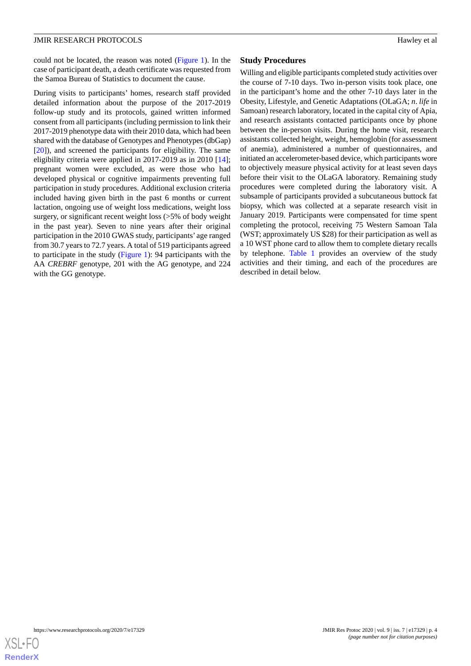could not be located, the reason was noted [\(Figure 1\)](#page-4-0). In the case of participant death, a death certificate was requested from the Samoa Bureau of Statistics to document the cause.

During visits to participants' homes, research staff provided detailed information about the purpose of the 2017-2019 follow-up study and its protocols, gained written informed consent from all participants (including permission to link their 2017-2019 phenotype data with their 2010 data, which had been shared with the database of Genotypes and Phenotypes (dbGap) [[20\]](#page-12-16)), and screened the participants for eligibility. The same eligibility criteria were applied in 2017-2019 as in 2010 [[14\]](#page-12-10); pregnant women were excluded, as were those who had developed physical or cognitive impairments preventing full participation in study procedures. Additional exclusion criteria included having given birth in the past 6 months or current lactation, ongoing use of weight loss medications, weight loss surgery, or significant recent weight loss (>5% of body weight in the past year). Seven to nine years after their original participation in the 2010 GWAS study, participants' age ranged from 30.7 years to 72.7 years. A total of 519 participants agreed to participate in the study ([Figure 1\)](#page-4-0): 94 participants with the AA *CREBRF* genotype, 201 with the AG genotype, and 224 with the GG genotype.

# **Study Procedures**

Willing and eligible participants completed study activities over the course of 7-10 days. Two in-person visits took place, one in the participant's home and the other 7-10 days later in the Obesity, Lifestyle, and Genetic Adaptations (OLaGA; *n*. *life* in Samoan) research laboratory, located in the capital city of Apia, and research assistants contacted participants once by phone between the in-person visits. During the home visit, research assistants collected height, weight, hemoglobin (for assessment of anemia), administered a number of questionnaires, and initiated an accelerometer-based device, which participants wore to objectively measure physical activity for at least seven days before their visit to the OLaGA laboratory. Remaining study procedures were completed during the laboratory visit. A subsample of participants provided a subcutaneous buttock fat biopsy, which was collected at a separate research visit in January 2019. Participants were compensated for time spent completing the protocol, receiving 75 Western Samoan Tala (WST; approximately US \$28) for their participation as well as a 10 WST phone card to allow them to complete dietary recalls by telephone. [Table 1](#page-5-0) provides an overview of the study activities and their timing, and each of the procedures are described in detail below.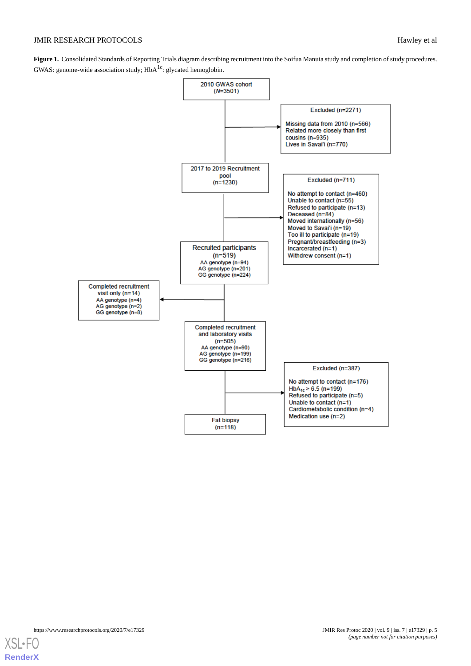# **JMIR RESEARCH PROTOCOLS** Hawley et al

<span id="page-4-0"></span>**Figure 1.** Consolidated Standards of Reporting Trials diagram describing recruitment into the Soifua Manuia study and completion of study procedures. GWAS: genome-wide association study;  $HbA<sup>1c</sup>$ : glycated hemoglobin.



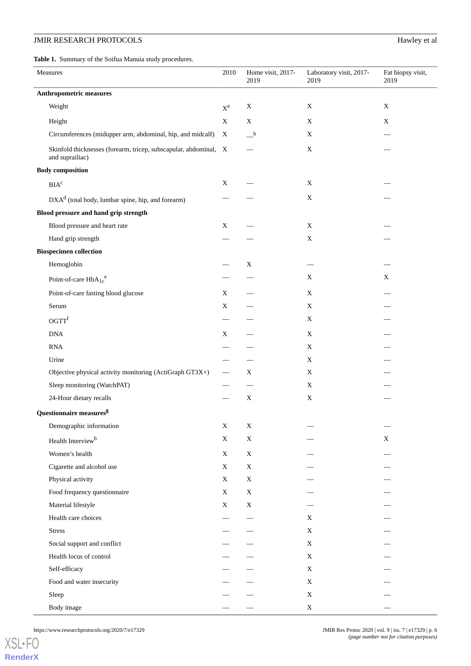# **JMIR RESEARCH PROTOCOLS** Hawley et al.

<span id="page-5-0"></span>**Table 1.** Summary of the Soifua Manuia study procedures.

| Measures                                                         | 2010                     | Home visit, 2017-<br>2019               | Laboratory visit, 2017-<br>2019 | Fat biopsy visit,<br>2019 |
|------------------------------------------------------------------|--------------------------|-----------------------------------------|---------------------------------|---------------------------|
| <b>Anthropometric measures</b>                                   |                          |                                         |                                 |                           |
| Weight                                                           | $\mathbf{X}^{\text{a}}$  | X                                       | $\mathbf X$                     | $\mathbf X$               |
| Height                                                           | X                        | $\mathbf X$                             | X                               | X                         |
| Circumferences (midupper arm, abdominal, hip, and midcalf)       | X                        | $\overline{\phantom{a}}^{\phantom{a}b}$ | $\mathbf X$                     |                           |
| Skinfold thicknesses (forearm, tricep, subscapular, abdominal, X |                          |                                         | $\mathbf X$                     |                           |
| and suprailiac)                                                  |                          |                                         |                                 |                           |
| <b>Body composition</b>                                          |                          |                                         |                                 |                           |
| $\mathbf{BIA}^\mathrm{c}$                                        | X                        |                                         | X                               |                           |
| $DXAd$ (total body, lumbar spine, hip, and forearm)              |                          |                                         | $\mathbf X$                     |                           |
| Blood pressure and hand grip strength                            |                          |                                         |                                 |                           |
| Blood pressure and heart rate                                    | $\mathbf X$              |                                         | $\mathbf X$                     |                           |
| Hand grip strength                                               |                          |                                         | $\mathbf X$                     |                           |
| <b>Biospecimen collection</b>                                    |                          |                                         |                                 |                           |
| Hemoglobin                                                       |                          | $\mathbf X$                             |                                 |                           |
| Point-of-care $HbA_{1c}^e$                                       |                          |                                         | $\mathbf X$                     | X                         |
| Point-of-care fasting blood glucose                              | X                        |                                         | X                               |                           |
| Serum                                                            | $\mathbf X$              |                                         | $\mathbf X$                     |                           |
| OGTT <sup>f</sup>                                                |                          |                                         | $\mathbf X$                     |                           |
| $\rm{DNA}$                                                       | X                        |                                         | X                               |                           |
| <b>RNA</b>                                                       |                          |                                         | X                               |                           |
| Urine                                                            |                          |                                         | X                               |                           |
| Objective physical activity monitoring (ActiGraph GT3X+)         |                          | X                                       | X                               |                           |
| Sleep monitoring (WatchPAT)                                      |                          |                                         | $\mathbf X$                     |                           |
| 24-Hour dietary recalls                                          |                          | X                                       | $\mathbf X$                     |                           |
| Questionnaire measures <sup>g</sup>                              |                          |                                         |                                 |                           |
| Demographic information                                          | X                        | X                                       |                                 |                           |
| Health Interview <sup>h</sup>                                    | $\mathbf X$              | $\mathbf X$                             |                                 | X                         |
| Women's health                                                   | $\mathbf X$              | $\mathbf X$                             |                                 |                           |
| Cigarette and alcohol use                                        | $\mathbf X$              | $\mathbf X$                             |                                 |                           |
| Physical activity                                                | X                        | $\mathbf X$                             |                                 |                           |
| Food frequency questionnaire                                     | X                        | X                                       |                                 |                           |
| Material lifestyle                                               | $\mathbf X$              | $\mathbf X$                             |                                 |                           |
| Health care choices                                              |                          |                                         | X                               |                           |
| <b>Stress</b>                                                    | $\overline{\phantom{0}}$ |                                         | X                               |                           |
| Social support and conflict                                      |                          |                                         | X                               |                           |
| Health locus of control                                          |                          |                                         | X                               |                           |
| Self-efficacy                                                    |                          |                                         | X                               |                           |
| Food and water insecurity                                        |                          |                                         | X                               |                           |
| Sleep                                                            |                          |                                         | X                               |                           |
| Body image                                                       |                          |                                         | X                               |                           |

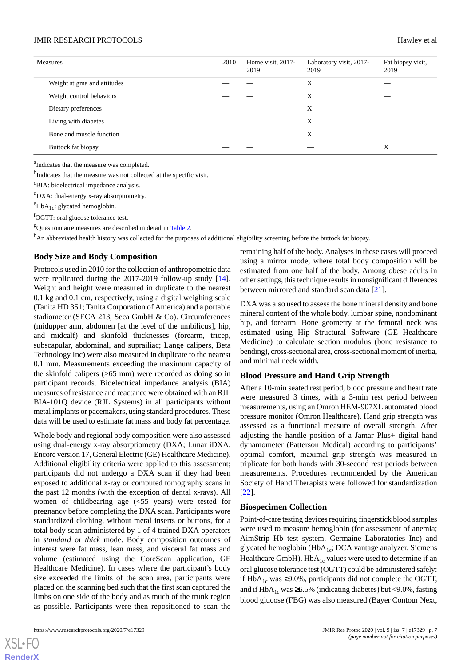| <b>Measures</b>             | 2010 | Home visit, 2017-<br>2019 | Laboratory visit, 2017-<br>2019 | Fat biopsy visit,<br>2019 |
|-----------------------------|------|---------------------------|---------------------------------|---------------------------|
| Weight stigma and attitudes |      |                           | X                               |                           |
| Weight control behaviors    |      |                           | X                               |                           |
| Dietary preferences         |      |                           | X                               |                           |
| Living with diabetes        |      |                           | X                               |                           |
| Bone and muscle function    |      |                           | X                               |                           |
| Buttock fat biopsy          |      |                           |                                 | X                         |

<sup>a</sup>Indicates that the measure was completed.

<sup>b</sup>Indicates that the measure was not collected at the specific visit.

<sup>c</sup>BIA: bioelectrical impedance analysis.

<sup>d</sup>DXA: dual-energy x-ray absorptiometry.

 $e^{\text{HbA}_{1c}}$ : glycated hemoglobin.

<sup>f</sup>OGTT: oral glucose tolerance test.

<sup>g</sup>Questionnaire measures are described in detail in [Table 2](#page-8-0).

h<sub>An abbreviated health history was collected for the purposes of additional eligibility screening before the buttock fat biopsy.</sub>

## **Body Size and Body Composition**

Protocols used in 2010 for the collection of anthropometric data were replicated during the 2017-2019 follow-up study [[14\]](#page-12-10). Weight and height were measured in duplicate to the nearest 0.1 kg and 0.1 cm, respectively, using a digital weighing scale (Tanita HD 351; Tanita Corporation of America) and a portable stadiometer (SECA 213, Seca GmbH & Co). Circumferences (midupper arm, abdomen [at the level of the umbilicus], hip, and midcalf) and skinfold thicknesses (forearm, tricep, subscapular, abdominal, and suprailiac; Lange calipers, Beta Technology Inc) were also measured in duplicate to the nearest 0.1 mm. Measurements exceeding the maximum capacity of the skinfold calipers (>65 mm) were recorded as doing so in participant records. Bioelectrical impedance analysis (BIA) measures of resistance and reactance were obtained with an RJL BIA-101Q device (RJL Systems) in all participants without metal implants or pacemakers, using standard procedures. These data will be used to estimate fat mass and body fat percentage.

Whole body and regional body composition were also assessed using dual-energy x-ray absorptiometry (DXA; Lunar iDXA, Encore version 17, General Electric (GE) Healthcare Medicine). Additional eligibility criteria were applied to this assessment; participants did not undergo a DXA scan if they had been exposed to additional x-ray or computed tomography scans in the past 12 months (with the exception of dental x-rays). All women of childbearing age (<55 years) were tested for pregnancy before completing the DXA scan. Participants wore standardized clothing, without metal inserts or buttons, for a total body scan administered by 1 of 4 trained DXA operators in *standard* or *thick* mode. Body composition outcomes of interest were fat mass, lean mass, and visceral fat mass and volume (estimated using the CoreScan application, GE Healthcare Medicine). In cases where the participant's body size exceeded the limits of the scan area, participants were placed on the scanning bed such that the first scan captured the limbs on one side of the body and as much of the trunk region as possible. Participants were then repositioned to scan the

remaining half of the body. Analyses in these cases will proceed using a mirror mode, where total body composition will be estimated from one half of the body. Among obese adults in other settings, this technique results in nonsignificant differences between mirrored and standard scan data [\[21](#page-12-17)].

DXA was also used to assess the bone mineral density and bone mineral content of the whole body, lumbar spine, nondominant hip, and forearm. Bone geometry at the femoral neck was estimated using Hip Structural Software (GE Healthcare Medicine) to calculate section modulus (bone resistance to bending), cross-sectional area, cross-sectional moment of inertia, and minimal neck width.

# **Blood Pressure and Hand Grip Strength**

After a 10-min seated rest period, blood pressure and heart rate were measured 3 times, with a 3-min rest period between measurements, using an Omron HEM-907XL automated blood pressure monitor (Omron Healthcare). Hand grip strength was assessed as a functional measure of overall strength. After adjusting the handle position of a Jamar Plus+ digital hand dynamometer (Patterson Medical) according to participants' optimal comfort, maximal grip strength was measured in triplicate for both hands with 30-second rest periods between measurements. Procedures recommended by the American Society of Hand Therapists were followed for standardization [[22\]](#page-12-18).

#### **Biospecimen Collection**

Point-of-care testing devices requiring fingerstick blood samples were used to measure hemoglobin (for assessment of anemia; AimStrip Hb test system, Germaine Laboratories Inc) and glycated hemoglobin (HbA<sub>1c</sub>; DCA vantage analyzer, Siemens Healthcare GmbH).  $HbA_{1c}$  values were used to determine if an oral glucose tolerance test (OGTT) could be administered safely: if HbA<sub>1c</sub> was ≥9.0%, participants did not complete the OGTT, and if  $HbA_{1c}$  was ≥6.5% (indicating diabetes) but <9.0%, fasting blood glucose (FBG) was also measured (Bayer Contour Next,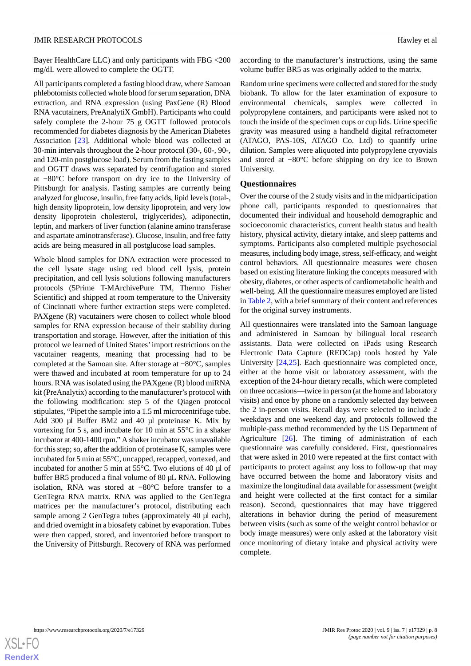Bayer HealthCare LLC) and only participants with FBG <200 mg/dL were allowed to complete the OGTT.

All participants completed a fasting blood draw, where Samoan phlebotomists collected whole blood for serum separation, DNA extraction, and RNA expression (using PaxGene (R) Blood RNA vacutainers, PreAnalytiX GmbH). Participants who could safely complete the 2-hour 75 g OGTT followed protocols recommended for diabetes diagnosis by the American Diabetes Association [[23\]](#page-13-0). Additional whole blood was collected at 30-min intervals throughout the 2-hour protocol (30-, 60-, 90-, and 120-min postglucose load). Serum from the fasting samples and OGTT draws was separated by centrifugation and stored at −80°C before transport on dry ice to the University of Pittsburgh for analysis. Fasting samples are currently being analyzed for glucose, insulin, free fatty acids, lipid levels (total-, high density lipoprotein, low density lipoprotein, and very low density lipoprotein cholesterol, triglycerides), adiponectin, leptin, and markers of liver function (alanine amino transferase and aspartate aminotransferase). Glucose, insulin, and free fatty acids are being measured in all postglucose load samples.

Whole blood samples for DNA extraction were processed to the cell lysate stage using red blood cell lysis, protein precipitation, and cell lysis solutions following manufacturers protocols (5Prime T-MArchivePure TM, Thermo Fisher Scientific) and shipped at room temperature to the University of Cincinnati where further extraction steps were completed. PAXgene (R) vacutainers were chosen to collect whole blood samples for RNA expression because of their stability during transportation and storage. However, after the initiation of this protocol we learned of United States'import restrictions on the vacutainer reagents, meaning that processing had to be completed at the Samoan site. After storage at −80°C, samples were thawed and incubated at room temperature for up to 24 hours. RNA was isolated using the PAXgene (R) blood miRNA kit (PreAnalytix) according to the manufacturer's protocol with the following modification: step 5 of the Qiagen protocol stipulates, "Pipet the sample into a 1.5 ml microcentrifuge tube. Add 300 μl Buffer BM2 and 40 μl proteinase K. Mix by vortexing for 5 s, and incubate for 10 min at 55°C in a shaker incubator at 400-1400 rpm." A shaker incubator was unavailable for this step; so, after the addition of proteinase K, samples were incubated for 5 min at 55°C, uncapped, recapped, vortexed, and incubated for another 5 min at 55°C. Two elutions of 40 µl of buffer BR5 produced a final volume of 80 µL RNA. Following isolation, RNA was stored at −80°C before transfer to a GenTegra RNA matrix. RNA was applied to the GenTegra matrices per the manufacturer's protocol, distributing each sample among 2 GenTegra tubes (approximately 40 µl each), and dried overnight in a biosafety cabinet by evaporation. Tubes were then capped, stored, and inventoried before transport to the University of Pittsburgh. Recovery of RNA was performed

according to the manufacturer's instructions, using the same volume buffer BR5 as was originally added to the matrix.

Random urine specimens were collected and stored for the study biobank. To allow for the later examination of exposure to environmental chemicals, samples were collected in polypropylene containers, and participants were asked not to touch the inside of the specimen cups or cup lids. Urine specific gravity was measured using a handheld digital refractometer (ATAGO, PAS-10S, ATAGO Co. Ltd) to quantify urine dilution. Samples were aliquoted into polypropylene cryovials and stored at −80°C before shipping on dry ice to Brown University.

#### **Questionnaires**

Over the course of the 2 study visits and in the midparticipation phone call, participants responded to questionnaires that documented their individual and household demographic and socioeconomic characteristics, current health status and health history, physical activity, dietary intake, and sleep patterns and symptoms. Participants also completed multiple psychosocial measures, including body image, stress, self-efficacy, and weight control behaviors. All questionnaire measures were chosen based on existing literature linking the concepts measured with obesity, diabetes, or other aspects of cardiometabolic health and well-being. All the questionnaire measures employed are listed in [Table 2](#page-8-0), with a brief summary of their content and references for the original survey instruments.

All questionnaires were translated into the Samoan language and administered in Samoan by bilingual local research assistants. Data were collected on iPads using Research Electronic Data Capture (REDCap) tools hosted by Yale University [[24,](#page-13-1)[25](#page-13-2)]. Each questionnaire was completed once, either at the home visit or laboratory assessment, with the exception of the 24-hour dietary recalls, which were completed on three occasions—twice in person (at the home and laboratory visits) and once by phone on a randomly selected day between the 2 in-person visits. Recall days were selected to include 2 weekdays and one weekend day, and protocols followed the multiple-pass method recommended by the US Department of Agriculture [\[26](#page-13-3)]. The timing of administration of each questionnaire was carefully considered. First, questionnaires that were asked in 2010 were repeated at the first contact with participants to protect against any loss to follow-up that may have occurred between the home and laboratory visits and maximize the longitudinal data available for assessment (weight and height were collected at the first contact for a similar reason). Second, questionnaires that may have triggered alterations in behavior during the period of measurement between visits (such as some of the weight control behavior or body image measures) were only asked at the laboratory visit once monitoring of dietary intake and physical activity were complete.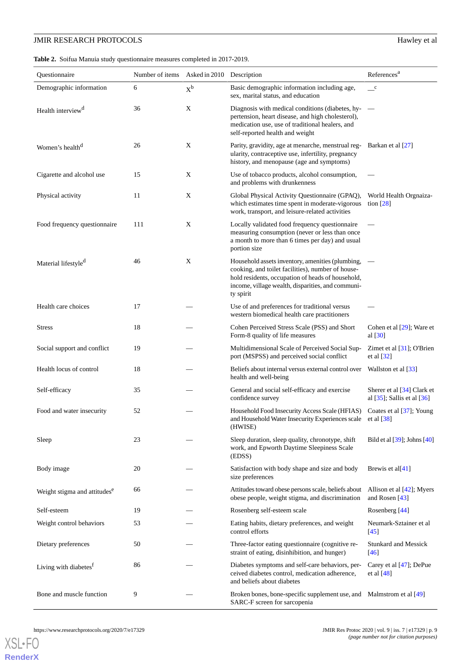# **JMIR RESEARCH PROTOCOLS** Hawley et al.

<span id="page-8-0"></span>

|  |  |  |  | Table 2. Soifua Manuia study questionnaire measures completed in 2017-2019. |  |  |  |
|--|--|--|--|-----------------------------------------------------------------------------|--|--|--|
|--|--|--|--|-----------------------------------------------------------------------------|--|--|--|

| Questionnaire                            | Number of items | Asked in 2010 Description |                                                                                                                                                                                                                              | References <sup>a</sup>                                         |
|------------------------------------------|-----------------|---------------------------|------------------------------------------------------------------------------------------------------------------------------------------------------------------------------------------------------------------------------|-----------------------------------------------------------------|
| Demographic information                  | 6               | $X^b$                     | Basic demographic information including age,<br>sex, marital status, and education                                                                                                                                           | $\mathbf{c}$                                                    |
| Health interview <sup>d</sup>            | 36              | X                         | Diagnosis with medical conditions (diabetes, hy- $-$<br>pertension, heart disease, and high cholesterol),<br>medication use, use of traditional healers, and<br>self-reported health and weight                              |                                                                 |
| Women's health <sup>d</sup>              | 26              | X                         | Parity, gravidity, age at menarche, menstrual reg- Barkan et al [27]<br>ularity, contraceptive use, infertility, pregnancy<br>history, and menopause (age and symptoms)                                                      |                                                                 |
| Cigarette and alcohol use                | 15              | X                         | Use of tobacco products, alcohol consumption,<br>and problems with drunkenness                                                                                                                                               |                                                                 |
| Physical activity                        | 11              | X                         | Global Physical Activity Questionnaire (GPAQ),<br>which estimates time spent in moderate-vigorous<br>work, transport, and leisure-related activities                                                                         | World Health Orgnaiza-<br>tion $[28]$                           |
| Food frequency questionnaire             | 111             | X                         | Locally validated food frequency questionnaire<br>measuring consumption (never or less than once<br>a month to more than 6 times per day) and usual<br>portion size                                                          |                                                                 |
| Material lifestyle <sup>d</sup>          | 46              | X                         | Household assets inventory, amenities (plumbing,<br>cooking, and toilet facilities), number of house-<br>hold residents, occupation of heads of household,<br>income, village wealth, disparities, and communi-<br>ty spirit |                                                                 |
| Health care choices                      | 17              |                           | Use of and preferences for traditional versus<br>western biomedical health care practitioners                                                                                                                                |                                                                 |
| <b>Stress</b>                            | 18              |                           | Cohen Perceived Stress Scale (PSS) and Short<br>Form-8 quality of life measures                                                                                                                                              | Cohen et al $[29]$ ; Ware et<br>al $[30]$                       |
| Social support and conflict              | 19              |                           | Multidimensional Scale of Perceived Social Sup-<br>port (MSPSS) and perceived social conflict                                                                                                                                | Zimet et al $[31]$ ; O'Brien<br>et al $[32]$                    |
| Health locus of control                  | 18              |                           | Beliefs about internal versus external control over<br>health and well-being                                                                                                                                                 | Wallston et al [33]                                             |
| Self-efficacy                            | 35              |                           | General and social self-efficacy and exercise<br>confidence survey                                                                                                                                                           | Sherer et al $[34]$ Clark et<br>al $[35]$ ; Sallis et al $[36]$ |
| Food and water insecurity                | 52              |                           | Household Food Insecurity Access Scale (HFIAS)<br>and Household Water Insecurity Experiences scale et al [38]<br>(HWISE)                                                                                                     | Coates et al [37]; Young                                        |
| Sleep                                    | 23              |                           | Sleep duration, sleep quality, chronotype, shift<br>work, and Epworth Daytime Sleepiness Scale<br>(EDSS)                                                                                                                     | Bild et al $[39]$ ; Johns $[40]$                                |
| Body image                               | 20              |                           | Satisfaction with body shape and size and body<br>size preferences                                                                                                                                                           | Brewis et al[ $41$ ]                                            |
| Weight stigma and attitudes <sup>e</sup> | 66              |                           | Attitudes toward obese persons scale, beliefs about<br>obese people, weight stigma, and discrimination                                                                                                                       | Allison et al $[42]$ ; Myers<br>and Rosen [43]                  |
| Self-esteem                              | 19              |                           | Rosenberg self-esteem scale                                                                                                                                                                                                  | Rosenberg [44]                                                  |
| Weight control behaviors                 | 53              |                           | Eating habits, dietary preferences, and weight<br>control efforts                                                                                                                                                            | Neumark-Sztainer et al<br>$[45]$                                |
| Dietary preferences                      | 50              |                           | Three-factor eating questionnaire (cognitive re-<br>straint of eating, disinhibition, and hunger)                                                                                                                            | <b>Stunkard and Messick</b><br>$[46]$                           |
| Living with diabetes <sup>f</sup>        | 86              |                           | Diabetes symptoms and self-care behaviors, per-<br>ceived diabetes control, medication adherence,<br>and beliefs about diabetes                                                                                              | Carey et al $[47]$ ; DePue<br>et al $[48]$                      |
| Bone and muscle function                 | 9               |                           | Broken bones, bone-specific supplement use, and Malmstrom et al [49]<br>SARC-F screen for sarcopenia                                                                                                                         |                                                                 |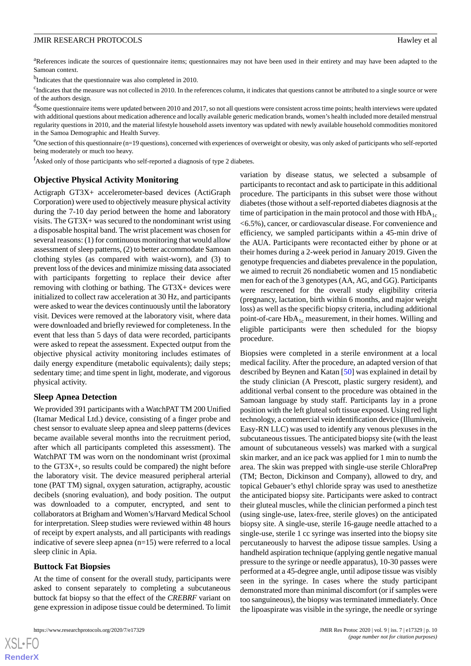<sup>a</sup>References indicate the sources of questionnaire items; questionnaires may not have been used in their entirety and may have been adapted to the Samoan context.

<sup>b</sup>Indicates that the questionnaire was also completed in 2010.

<sup>c</sup>Indicates that the measure was not collected in 2010. In the references column, it indicates that questions cannot be attributed to a single source or were of the authors design.

<sup>d</sup>Some questionnaire items were updated between 2010 and 2017, so not all questions were consistent across time points; health interviews were updated with additional questions about medication adherence and locally available generic medication brands, women's health included more detailed menstrual regularity questions in 2010, and the material lifestyle household assets inventory was updated with newly available household commodities monitored in the Samoa Demographic and Health Survey.

 $^{\circ}$ One section of this questionnaire (n=19 questions), concerned with experiences of overweight or obesity, was only asked of participants who self-reported being moderately or much too heavy.

<sup>f</sup>Asked only of those participants who self-reported a diagnosis of type 2 diabetes.

### **Objective Physical Activity Monitoring**

Actigraph GT3X+ accelerometer-based devices (ActiGraph Corporation) were used to objectively measure physical activity during the 7-10 day period between the home and laboratory visits. The GT3X+ was secured to the nondominant wrist using a disposable hospital band. The wrist placement was chosen for several reasons: (1) for continuous monitoring that would allow assessment of sleep patterns, (2) to better accommodate Samoan clothing styles (as compared with waist-worn), and (3) to prevent loss of the devices and minimize missing data associated with participants forgetting to replace their device after removing with clothing or bathing. The GT3X+ devices were initialized to collect raw acceleration at 30 Hz, and participants were asked to wear the devices continuously until the laboratory visit. Devices were removed at the laboratory visit, where data were downloaded and briefly reviewed for completeness. In the event that less than 5 days of data were recorded, participants were asked to repeat the assessment. Expected output from the objective physical activity monitoring includes estimates of daily energy expenditure (metabolic equivalents); daily steps; sedentary time; and time spent in light, moderate, and vigorous physical activity.

## **Sleep Apnea Detection**

We provided 391 participants with a WatchPAT TM 200 Unified (Itamar Medical Ltd.) device, consisting of a finger probe and chest sensor to evaluate sleep apnea and sleep patterns (devices became available several months into the recruitment period, after which all participants completed this assessment). The WatchPAT TM was worn on the nondominant wrist (proximal to the GT3X+, so results could be compared) the night before the laboratory visit. The device measured peripheral arterial tone (PAT TM) signal, oxygen saturation, actigraphy, acoustic decibels (snoring evaluation), and body position. The output was downloaded to a computer, encrypted, and sent to collaborators at Brigham and Women's/Harvard Medical School for interpretation. Sleep studies were reviewed within 48 hours of receipt by expert analysts, and all participants with readings indicative of severe sleep apnea (n=15) were referred to a local sleep clinic in Apia.

### **Buttock Fat Biopsies**

 $XS$ -FO **[RenderX](http://www.renderx.com/)**

At the time of consent for the overall study, participants were asked to consent separately to completing a subcutaneous buttock fat biopsy so that the effect of the *CREBRF* variant on gene expression in adipose tissue could be determined. To limit

https://www.researchprotocols.org/2020/7/e17329 p. 10<br> **IMIR Res Protoc 2020 | vol. 9 | iss. 7 | e17329 | p. 10** 

variation by disease status, we selected a subsample of participants to recontact and ask to participate in this additional procedure. The participants in this subset were those without diabetes (those without a self-reported diabetes diagnosis at the time of participation in the main protocol and those with  $HbA_{1c}$ <6.5%), cancer, or cardiovascular disease. For convenience and efficiency, we sampled participants within a 45-min drive of the AUA. Participants were recontacted either by phone or at their homes during a 2-week period in January 2019. Given the genotype frequencies and diabetes prevalence in the population, we aimed to recruit 26 nondiabetic women and 15 nondiabetic men for each of the 3 genotypes (AA, AG, and GG). Participants were rescreened for the overall study eligibility criteria (pregnancy, lactation, birth within 6 months, and major weight loss) as well as the specific biopsy criteria, including additional point-of-care  $HbA_{1c}$  measurement, in their homes. Willing and eligible participants were then scheduled for the biopsy procedure.

Biopsies were completed in a sterile environment at a local medical facility. After the procedure, an adapted version of that described by Beynen and Katan [[50\]](#page-14-2) was explained in detail by the study clinician (A Prescott, plastic surgery resident), and additional verbal consent to the procedure was obtained in the Samoan language by study staff. Participants lay in a prone position with the left gluteal soft tissue exposed. Using red light technology, a commercial vein identification device (Illumivein, Easy-RN LLC) was used to identify any venous plexuses in the subcutaneous tissues. The anticipated biopsy site (with the least amount of subcutaneous vessels) was marked with a surgical skin marker, and an ice pack was applied for 1 min to numb the area. The skin was prepped with single-use sterile ChloraPrep (TM; Becton, Dickinson and Company), allowed to dry, and topical Gebauer's ethyl chloride spray was used to anesthetize the anticipated biopsy site. Participants were asked to contract their gluteal muscles, while the clinician performed a pinch test (using single-use, latex-free, sterile gloves) on the anticipated biopsy site. A single-use, sterile 16-gauge needle attached to a single-use, sterile 1 cc syringe was inserted into the biopsy site percutaneously to harvest the adipose tissue samples. Using a handheld aspiration technique (applying gentle negative manual pressure to the syringe or needle apparatus), 10-30 passes were performed at a 45-degree angle, until adipose tissue was visibly seen in the syringe. In cases where the study participant demonstrated more than minimal discomfort (or if samples were too sanguineous), the biopsy was terminated immediately. Once the lipoaspirate was visible in the syringe, the needle or syringe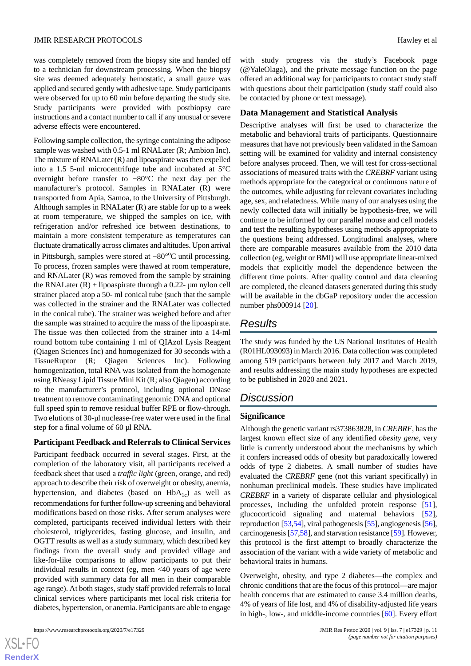was completely removed from the biopsy site and handed off to a technician for downstream processing. When the biopsy site was deemed adequately hemostatic, a small gauze was applied and secured gently with adhesive tape. Study participants were observed for up to 60 min before departing the study site. Study participants were provided with postbiopsy care instructions and a contact number to call if any unusual or severe adverse effects were encountered.

Following sample collection, the syringe containing the adipose sample was washed with 0.5-1 ml RNALater (R; Ambion Inc). The mixture of RNALater (R) and lipoaspirate was then expelled into a 1.5 5-ml microcentrifuge tube and incubated at 5°C overnight before transfer to −80°C the next day per the manufacturer's protocol. Samples in RNALater (R) were transported from Apia, Samoa, to the University of Pittsburgh. Although samples in RNALater (R) are stable for up to a week at room temperature, we shipped the samples on ice, with refrigeration and/or refreshed ice between destinations, to maintain a more consistent temperature as temperatures can fluctuate dramatically across climates and altitudes. Upon arrival in Pittsburgh, samples were stored at -80°°C until processing. To process, frozen samples were thawed at room temperature, and RNALater (R) was removed from the sample by straining the RNALater  $(R)$  + lipoaspirate through a 0.22-  $\mu$ m nylon cell strainer placed atop a 50- ml conical tube (such that the sample was collected in the strainer and the RNALater was collected in the conical tube). The strainer was weighed before and after the sample was strained to acquire the mass of the lipoaspirate. The tissue was then collected from the strainer into a 14-ml round bottom tube containing 1 ml of QIAzol Lysis Reagent (Qiagen Sciences Inc) and homogenized for 30 seconds with a TissueRuptor (R; Qiagen Sciences Inc). Following homogenization, total RNA was isolated from the homogenate using RNeasy Lipid Tissue Mini Kit (R; also Qiagen) according to the manufacturer's protocol, including optional DNase treatment to remove contaminating genomic DNA and optional full speed spin to remove residual buffer RPE or flow-through. Two elutions of 30-µl nuclease-free water were used in the final step for a final volume of 60 µl RNA.

#### **Participant Feedback and Referrals to Clinical Services**

Participant feedback occurred in several stages. First, at the completion of the laboratory visit, all participants received a feedback sheet that used a *traffic light* (green, orange, and red) approach to describe their risk of overweight or obesity, anemia, hypertension, and diabetes (based on  $HbA_{1c}$ ) as well as recommendations for further follow-up screening and behavioral modifications based on those risks. After serum analyses were completed, participants received individual letters with their cholesterol, triglycerides, fasting glucose, and insulin, and OGTT results as well as a study summary, which described key findings from the overall study and provided village and like-for-like comparisons to allow participants to put their individual results in context (eg, men <40 years of age were provided with summary data for all men in their comparable age range). At both stages, study staff provided referrals to local clinical services where participants met local risk criteria for diabetes, hypertension, or anemia. Participants are able to engage

with study progress via the study's Facebook page (@YaleOlaga), and the private message function on the page offered an additional way for participants to contact study staff with questions about their participation (study staff could also be contacted by phone or text message).

#### **Data Management and Statistical Analysis**

Descriptive analyses will first be used to characterize the metabolic and behavioral traits of participants. Questionnaire measures that have not previously been validated in the Samoan setting will be examined for validity and internal consistency before analyses proceed. Then, we will test for cross-sectional associations of measured traits with the *CREBRF* variant using methods appropriate for the categorical or continuous nature of the outcomes, while adjusting for relevant covariates including age, sex, and relatedness. While many of our analyses using the newly collected data will initially be hypothesis-free, we will continue to be informed by our parallel mouse and cell models and test the resulting hypotheses using methods appropriate to the questions being addressed. Longitudinal analyses, where there are comparable measures available from the 2010 data collection (eg, weight or BMI) will use appropriate linear-mixed models that explicitly model the dependence between the different time points. After quality control and data cleaning are completed, the cleaned datasets generated during this study will be available in the dbGaP repository under the accession number phs000914 [\[20](#page-12-16)].

# *Results*

The study was funded by the US National Institutes of Health (R01HL093093) in March 2016. Data collection was completed among 519 participants between July 2017 and March 2019, and results addressing the main study hypotheses are expected to be published in 2020 and 2021.

# *Discussion*

## **Significance**

Although the genetic variant rs373863828, in *CREBRF*, has the largest known effect size of any identified *obesity gene*, very little is currently understood about the mechanisms by which it confers increased odds of obesity but paradoxically lowered odds of type 2 diabetes. A small number of studies have evaluated the *CREBRF* gene (not this variant specifically) in nonhuman preclinical models. These studies have implicated *CREBRF* in a variety of disparate cellular and physiological processes, including the unfolded protein response [[51\]](#page-14-3), glucocorticoid signaling and maternal behaviors [[52\]](#page-14-4), reproduction [[53,](#page-14-5)[54\]](#page-14-6), viral pathogenesis [\[55\]](#page-14-7), angiogenesis [\[56](#page-14-8)], carcinogenesis [[57](#page-14-9)[,58](#page-14-10)], and starvation resistance [[59\]](#page-14-11). However, this protocol is the first attempt to broadly characterize the association of the variant with a wide variety of metabolic and behavioral traits in humans.

Overweight, obesity, and type 2 diabetes—the complex and chronic conditions that are the focus of this protocol—are major health concerns that are estimated to cause 3.4 million deaths, 4% of years of life lost, and 4% of disability-adjusted life years in high-, low-, and middle-income countries [\[60](#page-14-12)]. Every effort

```
XS-FO
RenderX
```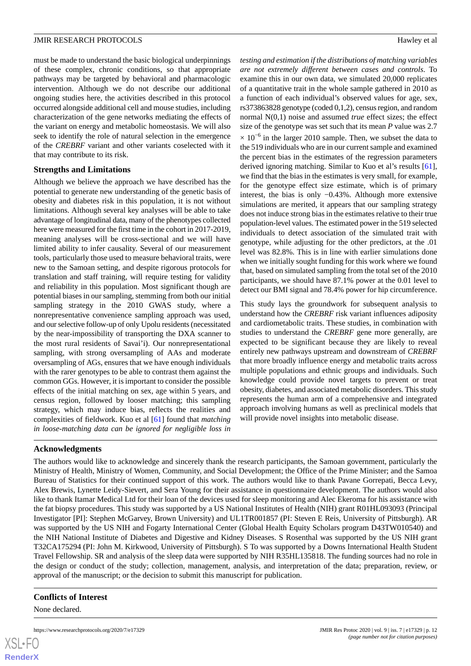must be made to understand the basic biological underpinnings of these complex, chronic conditions, so that appropriate pathways may be targeted by behavioral and pharmacologic intervention. Although we do not describe our additional ongoing studies here, the activities described in this protocol occurred alongside additional cell and mouse studies, including characterization of the gene networks mediating the effects of the variant on energy and metabolic homeostasis. We will also seek to identify the role of natural selection in the emergence of the *CREBRF* variant and other variants coselected with it that may contribute to its risk.

# **Strengths and Limitations**

Although we believe the approach we have described has the potential to generate new understanding of the genetic basis of obesity and diabetes risk in this population, it is not without limitations. Although several key analyses will be able to take advantage of longitudinal data, many of the phenotypes collected here were measured for the first time in the cohort in 2017-2019, meaning analyses will be cross-sectional and we will have limited ability to infer causality. Several of our measurement tools, particularly those used to measure behavioral traits, were new to the Samoan setting, and despite rigorous protocols for translation and staff training, will require testing for validity and reliability in this population. Most significant though are potential biases in our sampling, stemming from both our initial sampling strategy in the 2010 GWAS study, where a nonrepresentative convenience sampling approach was used, and our selective follow-up of only Upolu residents (necessitated by the near-impossibility of transporting the DXA scanner to the most rural residents of Savai'i). Our nonrepresentational sampling, with strong oversampling of AAs and moderate oversampling of AGs, ensures that we have enough individuals with the rarer genotypes to be able to contrast them against the common GGs. However, it is important to consider the possible effects of the initial matching on sex, age within 5 years, and census region, followed by looser matching; this sampling strategy, which may induce bias, reflects the realities and complexities of fieldwork. Kuo et al [\[61](#page-14-13)] found that *matching in loose-matching data can be ignored for negligible loss in*

*testing and estimation if the distributions of matching variables are not extremely different between cases and controls*. To examine this in our own data, we simulated 20,000 replicates of a quantitative trait in the whole sample gathered in 2010 as a function of each individual's observed values for age, sex, rs373863828 genotype (coded 0,1,2), census region, and random normal N(0,1) noise and assumed *true* effect sizes; the effect size of the genotype was set such that its mean *P* value was 2.7  $\times$  10<sup>-6</sup> in the larger 2010 sample. Then, we subset the data to the 519 individuals who are in our current sample and examined the percent bias in the estimates of the regression parameters derived ignoring matching. Similar to Kuo et al's results [[61\]](#page-14-13), we find that the bias in the estimates is very small, for example, for the genotype effect size estimate, which is of primary interest, the bias is only −0.43%. Although more extensive simulations are merited, it appears that our sampling strategy does not induce strong bias in the estimates relative to their true population-level values. The estimated power in the 519 selected individuals to detect association of the simulated trait with genotype, while adjusting for the other predictors, at the .01 level was 82.8%. This is in line with earlier simulations done when we initially sought funding for this work where we found that, based on simulated sampling from the total set of the 2010 participants, we should have 87.1% power at the 0.01 level to detect our BMI signal and 78.4% power for hip circumference.

This study lays the groundwork for subsequent analysis to understand how the *CREBRF* risk variant influences adiposity and cardiometabolic traits. These studies, in combination with studies to understand the *CREBRF* gene more generally, are expected to be significant because they are likely to reveal entirely new pathways upstream and downstream of *CREBRF* that more broadly influence energy and metabolic traits across multiple populations and ethnic groups and individuals. Such knowledge could provide novel targets to prevent or treat obesity, diabetes, and associated metabolic disorders. This study represents the human arm of a comprehensive and integrated approach involving humans as well as preclinical models that will provide novel insights into metabolic disease.

# **Acknowledgments**

The authors would like to acknowledge and sincerely thank the research participants, the Samoan government, particularly the Ministry of Health, Ministry of Women, Community, and Social Development; the Office of the Prime Minister; and the Samoa Bureau of Statistics for their continued support of this work. The authors would like to thank Pavane Gorrepati, Becca Levy, Alex Brewis, Lynette Leidy-Sievert, and Sera Young for their assistance in questionnaire development. The authors would also like to thank Itamar Medical Ltd for their loan of the devices used for sleep monitoring and Alec Ekeroma for his assistance with the fat biopsy procedures. This study was supported by a US National Institutes of Health (NIH) grant R01HL093093 (Principal Investigator [PI]: Stephen McGarvey, Brown University) and UL1TR001857 (PI: Steven E Reis, University of Pittsburgh). AR was supported by the US NIH and Fogarty International Center (Global Health Equity Scholars program D43TW010540) and the NIH National Institute of Diabetes and Digestive and Kidney Diseases. S Rosenthal was supported by the US NIH grant T32CA175294 (PI: John M. Kirkwood, University of Pittsburgh). S To was supported by a Downs International Health Student Travel Fellowship. SR and analysis of the sleep data were supported by NIH R35HL135818. The funding sources had no role in the design or conduct of the study; collection, management, analysis, and interpretation of the data; preparation, review, or approval of the manuscript; or the decision to submit this manuscript for publication.

# **Conflicts of Interest**

None declared.

 $X$ SL•F $C$ **[RenderX](http://www.renderx.com/)**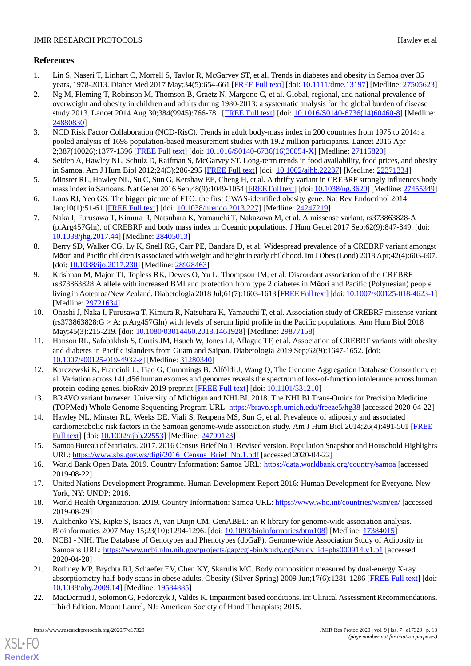# **References**

- <span id="page-12-0"></span>1. Lin S, Naseri T, Linhart C, Morrell S, Taylor R, McGarvey ST, et al. Trends in diabetes and obesity in Samoa over 35 years, 1978-2013. Diabet Med 2017 May;34(5):654-661 [\[FREE Full text\]](http://europepmc.org/abstract/MED/27505623) [doi: [10.1111/dme.13197](http://dx.doi.org/10.1111/dme.13197)] [Medline: [27505623](http://www.ncbi.nlm.nih.gov/entrez/query.fcgi?cmd=Retrieve&db=PubMed&list_uids=27505623&dopt=Abstract)]
- <span id="page-12-1"></span>2. Ng M, Fleming T, Robinson M, Thomson B, Graetz N, Margono C, et al. Global, regional, and national prevalence of overweight and obesity in children and adults during 1980-2013: a systematic analysis for the global burden of disease study 2013. Lancet 2014 Aug 30;384(9945):766-781 [[FREE Full text](http://europepmc.org/abstract/MED/24880830)] [doi: [10.1016/S0140-6736\(14\)60460-8\]](http://dx.doi.org/10.1016/S0140-6736(14)60460-8) [Medline: [24880830](http://www.ncbi.nlm.nih.gov/entrez/query.fcgi?cmd=Retrieve&db=PubMed&list_uids=24880830&dopt=Abstract)]
- <span id="page-12-3"></span><span id="page-12-2"></span>3. NCD Risk Factor Collaboration (NCD-RisC). Trends in adult body-mass index in 200 countries from 1975 to 2014: a pooled analysis of 1698 population-based measurement studies with 19.2 million participants. Lancet 2016 Apr 2;387(10026):1377-1396 [[FREE Full text](https://linkinghub.elsevier.com/retrieve/pii/S0140-6736(16)30054-X)] [doi: [10.1016/S0140-6736\(16\)30054-X\]](http://dx.doi.org/10.1016/S0140-6736(16)30054-X) [Medline: [27115820\]](http://www.ncbi.nlm.nih.gov/entrez/query.fcgi?cmd=Retrieve&db=PubMed&list_uids=27115820&dopt=Abstract)
- <span id="page-12-4"></span>4. Seiden A, Hawley NL, Schulz D, Raifman S, McGarvey ST. Long-term trends in food availability, food prices, and obesity in Samoa. Am J Hum Biol 2012;24(3):286-295 [[FREE Full text\]](http://europepmc.org/abstract/MED/22371334) [doi: [10.1002/ajhb.22237\]](http://dx.doi.org/10.1002/ajhb.22237) [Medline: [22371334](http://www.ncbi.nlm.nih.gov/entrez/query.fcgi?cmd=Retrieve&db=PubMed&list_uids=22371334&dopt=Abstract)]
- <span id="page-12-5"></span>5. Minster RL, Hawley NL, Su C, Sun G, Kershaw EE, Cheng H, et al. A thrifty variant in CREBRF strongly influences body mass index in Samoans. Nat Genet 2016 Sep;48(9):1049-1054 [[FREE Full text\]](http://europepmc.org/abstract/MED/27455349) [doi: [10.1038/ng.3620](http://dx.doi.org/10.1038/ng.3620)] [Medline: [27455349\]](http://www.ncbi.nlm.nih.gov/entrez/query.fcgi?cmd=Retrieve&db=PubMed&list_uids=27455349&dopt=Abstract)
- <span id="page-12-6"></span>6. Loos RJ, Yeo GS. The bigger picture of FTO: the first GWAS-identified obesity gene. Nat Rev Endocrinol 2014 Jan;10(1):51-61 [\[FREE Full text\]](http://europepmc.org/abstract/MED/24247219) [doi: [10.1038/nrendo.2013.227\]](http://dx.doi.org/10.1038/nrendo.2013.227) [Medline: [24247219\]](http://www.ncbi.nlm.nih.gov/entrez/query.fcgi?cmd=Retrieve&db=PubMed&list_uids=24247219&dopt=Abstract)
- 7. Naka I, Furusawa T, Kimura R, Natsuhara K, Yamauchi T, Nakazawa M, et al. A missense variant, rs373863828-A (p.Arg457Gln), of CREBRF and body mass index in Oceanic populations. J Hum Genet 2017 Sep;62(9):847-849. [doi: [10.1038/jhg.2017.44\]](http://dx.doi.org/10.1038/jhg.2017.44) [Medline: [28405013](http://www.ncbi.nlm.nih.gov/entrez/query.fcgi?cmd=Retrieve&db=PubMed&list_uids=28405013&dopt=Abstract)]
- 8. Berry SD, Walker CG, Ly K, Snell RG, Carr PE, Bandara D, et al. Widespread prevalence of a CREBRF variant amongst Māori and Pacific children is associated with weight and height in early childhood. Int J Obes (Lond) 2018 Apr;42(4):603-607. [doi: [10.1038/ijo.2017.230\]](http://dx.doi.org/10.1038/ijo.2017.230) [Medline: [28928463\]](http://www.ncbi.nlm.nih.gov/entrez/query.fcgi?cmd=Retrieve&db=PubMed&list_uids=28928463&dopt=Abstract)
- 9. Krishnan M, Major TJ, Topless RK, Dewes O, Yu L, Thompson JM, et al. Discordant association of the CREBRF rs373863828 A allele with increased BMI and protection from type 2 diabetes in Māori and Pacific (Polynesian) people living in Aotearoa/New Zealand. Diabetologia 2018 Jul;61(7):1603-1613 [\[FREE Full text](http://europepmc.org/abstract/MED/29721634)] [doi: [10.1007/s00125-018-4623-1](http://dx.doi.org/10.1007/s00125-018-4623-1)] [Medline: [29721634](http://www.ncbi.nlm.nih.gov/entrez/query.fcgi?cmd=Retrieve&db=PubMed&list_uids=29721634&dopt=Abstract)]
- <span id="page-12-7"></span>10. Ohashi J, Naka I, Furusawa T, Kimura R, Natsuhara K, Yamauchi T, et al. Association study of CREBRF missense variant (rs373863828:G > A; p.Arg457Gln) with levels of serum lipid profile in the Pacific populations. Ann Hum Biol 2018 May;45(3):215-219. [doi: [10.1080/03014460.2018.1461928](http://dx.doi.org/10.1080/03014460.2018.1461928)] [Medline: [29877158\]](http://www.ncbi.nlm.nih.gov/entrez/query.fcgi?cmd=Retrieve&db=PubMed&list_uids=29877158&dopt=Abstract)
- <span id="page-12-8"></span>11. Hanson RL, Safabakhsh S, Curtis JM, Hsueh W, Jones LI, Aflague TF, et al. Association of CREBRF variants with obesity and diabetes in Pacific islanders from Guam and Saipan. Diabetologia 2019 Sep;62(9):1647-1652. [doi: [10.1007/s00125-019-4932-z](http://dx.doi.org/10.1007/s00125-019-4932-z)] [Medline: [31280340\]](http://www.ncbi.nlm.nih.gov/entrez/query.fcgi?cmd=Retrieve&db=PubMed&list_uids=31280340&dopt=Abstract)
- <span id="page-12-10"></span><span id="page-12-9"></span>12. Karczewski K, Francioli L, Tiao G, Cummings B, Alföldi J, Wang Q, The Genome Aggregation Database Consortium, et al. Variation across 141,456 human exomes and genomes reveals the spectrum of loss-of-function intolerance across human protein-coding genes. bioRxiv 2019 preprint [\[FREE Full text\]](https://www.biorxiv.org/content/10.1101/531210v3.full.pdf) [doi: [10.1101/531210](http://dx.doi.org/10.1101/531210)]
- <span id="page-12-11"></span>13. BRAVO variant browser: University of Michigan and NHLBI. 2018. The NHLBI Trans-Omics for Precision Medicine (TOPMed) Whole Genome Sequencing Program URL: <https://bravo.sph.umich.edu/freeze5/hg38> [accessed 2020-04-22]
- <span id="page-12-12"></span>14. Hawley NL, Minster RL, Weeks DE, Viali S, Reupena MS, Sun G, et al. Prevalence of adiposity and associated cardiometabolic risk factors in the Samoan genome-wide association study. Am J Hum Biol 2014;26(4):491-501 [[FREE](http://europepmc.org/abstract/MED/24799123) [Full text\]](http://europepmc.org/abstract/MED/24799123) [doi: [10.1002/ajhb.22553\]](http://dx.doi.org/10.1002/ajhb.22553) [Medline: [24799123\]](http://www.ncbi.nlm.nih.gov/entrez/query.fcgi?cmd=Retrieve&db=PubMed&list_uids=24799123&dopt=Abstract)
- <span id="page-12-14"></span><span id="page-12-13"></span>15. Samoa Bureau of Statistics. 2017. 2016 Census Brief No 1: Revised version. Population Snapshot and Household Highlights URL: [https://www.sbs.gov.ws/digi/2016\\_Census\\_Brief\\_No.1.pdf](https://www.sbs.gov.ws/digi/2016_Census_Brief_No.1.pdf) [accessed 2020-04-22]
- <span id="page-12-15"></span>16. World Bank Open Data. 2019. Country Information: Samoa URL: <https://data.worldbank.org/country/samoa> [accessed 2019-08-22]
- <span id="page-12-16"></span>17. United Nations Development Programme. Human Development Report 2016: Human Development for Everyone. New York, NY: UNDP; 2016.
- 18. World Health Organization. 2019. Country Information: Samoa URL:<https://www.who.int/countries/wsm/en/> [accessed 2019-08-29]
- <span id="page-12-17"></span>19. Aulchenko YS, Ripke S, Isaacs A, van Duijn CM. GenABEL: an R library for genome-wide association analysis. Bioinformatics 2007 May 15;23(10):1294-1296. [doi: [10.1093/bioinformatics/btm108](http://dx.doi.org/10.1093/bioinformatics/btm108)] [Medline: [17384015](http://www.ncbi.nlm.nih.gov/entrez/query.fcgi?cmd=Retrieve&db=PubMed&list_uids=17384015&dopt=Abstract)]
- <span id="page-12-18"></span>20. NCBI - NIH. The Database of Genotypes and Phenotypes (dbGaP). Genome-wide Association Study of Adiposity in Samoans URL: [https://www.ncbi.nlm.nih.gov/projects/gap/cgi-bin/study.cgi?study\\_id=phs000914.v1.p1](https://www.ncbi.nlm.nih.gov/projects/gap/cgi-bin/study.cgi?study_id=phs000914.v1.p1) [accessed] 2020-04-20]
- 21. Rothney MP, Brychta RJ, Schaefer EV, Chen KY, Skarulis MC. Body composition measured by dual-energy X-ray absorptiometry half-body scans in obese adults. Obesity (Silver Spring) 2009 Jun;17(6):1281-1286 [[FREE Full text](https://doi.org/10.1038/oby.2009.14)] [doi: [10.1038/oby.2009.14](http://dx.doi.org/10.1038/oby.2009.14)] [Medline: [19584885\]](http://www.ncbi.nlm.nih.gov/entrez/query.fcgi?cmd=Retrieve&db=PubMed&list_uids=19584885&dopt=Abstract)
- 22. MacDermid J, Solomon G, Fedorczyk J, Valdes K. Impairment based conditions. In: Clinical Assessment Recommendations. Third Edition. Mount Laurel, NJ: American Society of Hand Therapists; 2015.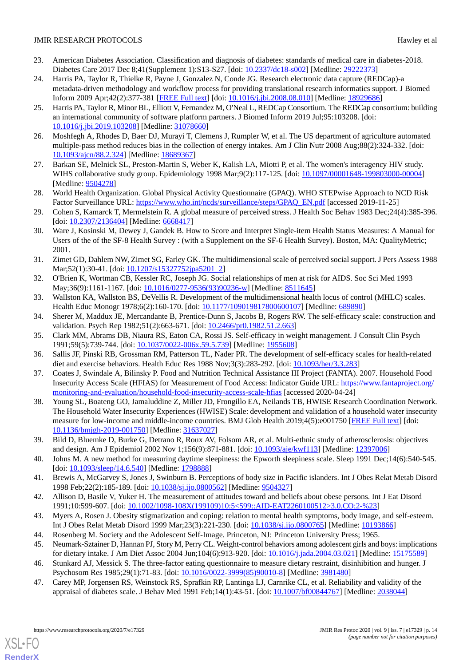- <span id="page-13-0"></span>23. American Diabetes Association. Classification and diagnosis of diabetes: standards of medical care in diabetes-2018. Diabetes Care 2017 Dec 8;41(Supplement 1):S13-S27. [doi: [10.2337/dc18-s002\]](http://dx.doi.org/10.2337/dc18-s002) [Medline: [29222373](http://www.ncbi.nlm.nih.gov/entrez/query.fcgi?cmd=Retrieve&db=PubMed&list_uids=29222373&dopt=Abstract)]
- <span id="page-13-1"></span>24. Harris PA, Taylor R, Thielke R, Payne J, Gonzalez N, Conde JG. Research electronic data capture (REDCap)-a metadata-driven methodology and workflow process for providing translational research informatics support. J Biomed Inform 2009 Apr;42(2):377-381 [\[FREE Full text\]](https://linkinghub.elsevier.com/retrieve/pii/S1532-0464(08)00122-6) [doi: [10.1016/j.jbi.2008.08.010](http://dx.doi.org/10.1016/j.jbi.2008.08.010)] [Medline: [18929686](http://www.ncbi.nlm.nih.gov/entrez/query.fcgi?cmd=Retrieve&db=PubMed&list_uids=18929686&dopt=Abstract)]
- <span id="page-13-2"></span>25. Harris PA, Taylor R, Minor BL, Elliott V, Fernandez M, O'Neal L, REDCap Consortium. The REDCap consortium: building an international community of software platform partners. J Biomed Inform 2019 Jul;95:103208. [doi: [10.1016/j.jbi.2019.103208\]](http://dx.doi.org/10.1016/j.jbi.2019.103208) [Medline: [31078660](http://www.ncbi.nlm.nih.gov/entrez/query.fcgi?cmd=Retrieve&db=PubMed&list_uids=31078660&dopt=Abstract)]
- <span id="page-13-4"></span><span id="page-13-3"></span>26. Moshfegh A, Rhodes D, Baer DJ, Murayi T, Clemens J, Rumpler W, et al. The US department of agriculture automated multiple-pass method reduces bias in the collection of energy intakes. Am J Clin Nutr 2008 Aug;88(2):324-332. [doi: [10.1093/ajcn/88.2.324](http://dx.doi.org/10.1093/ajcn/88.2.324)] [Medline: [18689367](http://www.ncbi.nlm.nih.gov/entrez/query.fcgi?cmd=Retrieve&db=PubMed&list_uids=18689367&dopt=Abstract)]
- <span id="page-13-5"></span>27. Barkan SE, Melnick SL, Preston-Martin S, Weber K, Kalish LA, Miotti P, et al. The women's interagency HIV study. WIHS collaborative study group. Epidemiology 1998 Mar;9(2):117-125. [doi: [10.1097/00001648-199803000-00004\]](http://dx.doi.org/10.1097/00001648-199803000-00004) [Medline: [9504278\]](http://www.ncbi.nlm.nih.gov/entrez/query.fcgi?cmd=Retrieve&db=PubMed&list_uids=9504278&dopt=Abstract)
- <span id="page-13-6"></span>28. World Health Organization. Global Physical Activity Questionnaire (GPAQ). WHO STEPwise Approach to NCD Risk Factor Surveillance URL: [https://www.who.int/ncds/surveillance/steps/GPAQ\\_EN.pdf](https://www.who.int/ncds/surveillance/steps/GPAQ_EN.pdf) [accessed 2019-11-25]
- <span id="page-13-7"></span>29. Cohen S, Kamarck T, Mermelstein R. A global measure of perceived stress. J Health Soc Behav 1983 Dec;24(4):385-396. [doi: [10.2307/2136404](http://dx.doi.org/10.2307/2136404)] [Medline: [6668417\]](http://www.ncbi.nlm.nih.gov/entrez/query.fcgi?cmd=Retrieve&db=PubMed&list_uids=6668417&dopt=Abstract)
- <span id="page-13-8"></span>30. Ware J, Kosinski M, Dewey J, Gandek B. How to Score and Interpret Single-item Health Status Measures: A Manual for Users of the of the SF-8 Health Survey : (with a Supplement on the SF-6 Health Survey). Boston, MA: QualityMetric; 2001.
- <span id="page-13-10"></span><span id="page-13-9"></span>31. Zimet GD, Dahlem NW, Zimet SG, Farley GK. The multidimensional scale of perceived social support. J Pers Assess 1988 Mar; 52(1): 30-41. [doi: [10.1207/s15327752jpa5201\\_2\]](http://dx.doi.org/10.1207/s15327752jpa5201_2)
- <span id="page-13-11"></span>32. O'Brien K, Wortman CB, Kessler RC, Joseph JG. Social relationships of men at risk for AIDS. Soc Sci Med 1993 May;36(9):1161-1167. [doi: [10.1016/0277-9536\(93\)90236-w\]](http://dx.doi.org/10.1016/0277-9536(93)90236-w) [Medline: [8511645](http://www.ncbi.nlm.nih.gov/entrez/query.fcgi?cmd=Retrieve&db=PubMed&list_uids=8511645&dopt=Abstract)]
- <span id="page-13-12"></span>33. Wallston KA, Wallston BS, DeVellis R. Development of the multidimensional health locus of control (MHLC) scales. Health Educ Monogr 1978;6(2):160-170. [doi: [10.1177/109019817800600107\]](http://dx.doi.org/10.1177/109019817800600107) [Medline: [689890](http://www.ncbi.nlm.nih.gov/entrez/query.fcgi?cmd=Retrieve&db=PubMed&list_uids=689890&dopt=Abstract)]
- <span id="page-13-13"></span>34. Sherer M, Maddux JE, Mercandante B, Prentice-Dunn S, Jacobs B, Rogers RW. The self-efficacy scale: construction and validation. Psych Rep 1982;51(2):663-671. [doi: [10.2466/pr0.1982.51.2.663\]](http://dx.doi.org/10.2466/pr0.1982.51.2.663)
- <span id="page-13-14"></span>35. Clark MM, Abrams DB, Niaura RS, Eaton CA, Rossi JS. Self-efficacy in weight management. J Consult Clin Psych 1991;59(5):739-744. [doi: [10.1037/0022-006x.59.5.739\]](http://dx.doi.org/10.1037/0022-006x.59.5.739) [Medline: [1955608](http://www.ncbi.nlm.nih.gov/entrez/query.fcgi?cmd=Retrieve&db=PubMed&list_uids=1955608&dopt=Abstract)]
- <span id="page-13-15"></span>36. Sallis JF, Pinski RB, Grossman RM, Patterson TL, Nader PR. The development of self-efficacy scales for health-related diet and exercise behaviors. Health Educ Res 1988 Nov;3(3):283-292. [doi: [10.1093/her/3.3.283\]](http://dx.doi.org/10.1093/her/3.3.283)
- 37. Coates J, Swindale A, Bilinsky P. Food and Nutrition Technical Assistance III Project (FANTA). 2007. Household Food Insecurity Access Scale (HFIAS) for Measurement of Food Access: Indicator Guide URL: [https://www.fantaproject.org/](https://www.fantaproject.org/monitoring-and-evaluation/household-food-insecurity-access-scale-hfias) [monitoring-and-evaluation/household-food-insecurity-access-scale-hfias](https://www.fantaproject.org/monitoring-and-evaluation/household-food-insecurity-access-scale-hfias) [accessed 2020-04-24]
- <span id="page-13-17"></span><span id="page-13-16"></span>38. Young SL, Boateng GO, Jamaluddine Z, Miller JD, Frongillo EA, Neilands TB, HWISE Research Coordination Network. The Household Water Insecurity Experiences (HWISE) Scale: development and validation of a household water insecurity measure for low-income and middle-income countries. BMJ Glob Health 2019;4(5):e001750 [\[FREE Full text\]](http://europepmc.org/abstract/MED/31637027) [doi: [10.1136/bmjgh-2019-001750](http://dx.doi.org/10.1136/bmjgh-2019-001750)] [Medline: [31637027\]](http://www.ncbi.nlm.nih.gov/entrez/query.fcgi?cmd=Retrieve&db=PubMed&list_uids=31637027&dopt=Abstract)
- <span id="page-13-19"></span><span id="page-13-18"></span>39. Bild D, Bluemke D, Burke G, Detrano R, Roux AV, Folsom AR, et al. Multi-ethnic study of atherosclerosis: objectives and design. Am J Epidemiol 2002 Nov 1;156(9):871-881. [doi: [10.1093/aje/kwf113\]](http://dx.doi.org/10.1093/aje/kwf113) [Medline: [12397006\]](http://www.ncbi.nlm.nih.gov/entrez/query.fcgi?cmd=Retrieve&db=PubMed&list_uids=12397006&dopt=Abstract)
- <span id="page-13-20"></span>40. Johns M. A new method for measuring daytime sleepiness: the Epworth sleepiness scale. Sleep 1991 Dec;14(6):540-545. [doi: [10.1093/sleep/14.6.540\]](http://dx.doi.org/10.1093/sleep/14.6.540) [Medline: [1798888](http://www.ncbi.nlm.nih.gov/entrez/query.fcgi?cmd=Retrieve&db=PubMed&list_uids=1798888&dopt=Abstract)]
- <span id="page-13-21"></span>41. Brewis A, McGarvey S, Jones J, Swinburn B. Perceptions of body size in Pacific islanders. Int J Obes Relat Metab Disord 1998 Feb;22(2):185-189. [doi: [10.1038/sj.ijo.0800562\]](http://dx.doi.org/10.1038/sj.ijo.0800562) [Medline: [9504327](http://www.ncbi.nlm.nih.gov/entrez/query.fcgi?cmd=Retrieve&db=PubMed&list_uids=9504327&dopt=Abstract)]
- <span id="page-13-22"></span>42. Allison D, Basile V, Yuker H. The measurement of attitudes toward and beliefs about obese persons. Int J Eat Disord 1991;10:599-607. [doi: [10.1002/1098-108X\(199109\)10:5<599::AID-EAT2260100512>3.0.CO;2-%23\]](http://dx.doi.org/10.1002/1098-108X(199109)10:5<599::AID-EAT2260100512>3.0.CO;2-%23)
- <span id="page-13-24"></span><span id="page-13-23"></span>43. Myers A, Rosen J. Obesity stigmatization and coping: relation to mental health symptoms, body image, and self-esteem. Int J Obes Relat Metab Disord 1999 Mar;23(3):221-230. [doi: [10.1038/sj.ijo.0800765\]](http://dx.doi.org/10.1038/sj.ijo.0800765) [Medline: [10193866](http://www.ncbi.nlm.nih.gov/entrez/query.fcgi?cmd=Retrieve&db=PubMed&list_uids=10193866&dopt=Abstract)]
- 44. Rosenberg M. Society and the Adolescent Self-Image. Princeton, NJ: Princeton University Press; 1965.
- 45. Neumark-Sztainer D, Hannan PJ, Story M, Perry CL. Weight-control behaviors among adolescent girls and boys: implications for dietary intake. J Am Diet Assoc 2004 Jun;104(6):913-920. [doi: [10.1016/j.jada.2004.03.021\]](http://dx.doi.org/10.1016/j.jada.2004.03.021) [Medline: [15175589\]](http://www.ncbi.nlm.nih.gov/entrez/query.fcgi?cmd=Retrieve&db=PubMed&list_uids=15175589&dopt=Abstract)
- 46. Stunkard AJ, Messick S. The three-factor eating questionnaire to measure dietary restraint, disinhibition and hunger. J Psychosom Res 1985;29(1):71-83. [doi: [10.1016/0022-3999\(85\)90010-8\]](http://dx.doi.org/10.1016/0022-3999(85)90010-8) [Medline: [3981480](http://www.ncbi.nlm.nih.gov/entrez/query.fcgi?cmd=Retrieve&db=PubMed&list_uids=3981480&dopt=Abstract)]
- 47. Carey MP, Jorgensen RS, Weinstock RS, Sprafkin RP, Lantinga LJ, Carnrike CL, et al. Reliability and validity of the appraisal of diabetes scale. J Behav Med 1991 Feb;14(1):43-51. [doi: [10.1007/bf00844767](http://dx.doi.org/10.1007/bf00844767)] [Medline: [2038044](http://www.ncbi.nlm.nih.gov/entrez/query.fcgi?cmd=Retrieve&db=PubMed&list_uids=2038044&dopt=Abstract)]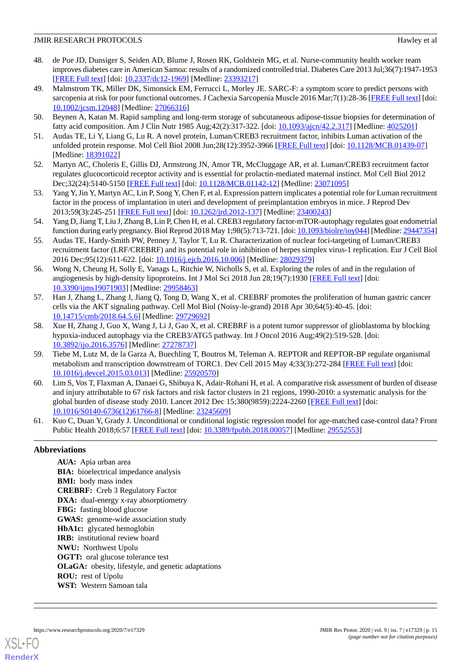- <span id="page-14-0"></span>48. de Pue JD, Dunsiger S, Seiden AD, Blume J, Rosen RK, Goldstein MG, et al. Nurse-community health worker team improves diabetes care in American Samoa: results of a randomized controlled trial. Diabetes Care 2013 Jul;36(7):1947-1953 [[FREE Full text](http://europepmc.org/abstract/MED/23393217)] [doi: [10.2337/dc12-1969\]](http://dx.doi.org/10.2337/dc12-1969) [Medline: [23393217](http://www.ncbi.nlm.nih.gov/entrez/query.fcgi?cmd=Retrieve&db=PubMed&list_uids=23393217&dopt=Abstract)]
- <span id="page-14-1"></span>49. Malmstrom TK, Miller DK, Simonsick EM, Ferrucci L, Morley JE. SARC-F: a symptom score to predict persons with sarcopenia at risk for poor functional outcomes. J Cachexia Sarcopenia Muscle 2016 Mar;7(1):28-36 [\[FREE Full text](https://doi.org/10.1002/jcsm.12048)] [doi: [10.1002/jcsm.12048](http://dx.doi.org/10.1002/jcsm.12048)] [Medline: [27066316\]](http://www.ncbi.nlm.nih.gov/entrez/query.fcgi?cmd=Retrieve&db=PubMed&list_uids=27066316&dopt=Abstract)
- <span id="page-14-3"></span><span id="page-14-2"></span>50. Beynen A, Katan M. Rapid sampling and long-term storage of subcutaneous adipose-tissue biopsies for determination of fatty acid composition. Am J Clin Nutr 1985 Aug;42(2):317-322. [doi: [10.1093/ajcn/42.2.317\]](http://dx.doi.org/10.1093/ajcn/42.2.317) [Medline: [4025201](http://www.ncbi.nlm.nih.gov/entrez/query.fcgi?cmd=Retrieve&db=PubMed&list_uids=4025201&dopt=Abstract)]
- <span id="page-14-4"></span>51. Audas TE, Li Y, Liang G, Lu R. A novel protein, Luman/CREB3 recruitment factor, inhibits Luman activation of the unfolded protein response. Mol Cell Biol 2008 Jun;28(12):3952-3966 [\[FREE Full text\]](http://mcb.asm.org/cgi/pmidlookup?view=long&pmid=18391022) [doi: [10.1128/MCB.01439-07](http://dx.doi.org/10.1128/MCB.01439-07)] [Medline: [18391022](http://www.ncbi.nlm.nih.gov/entrez/query.fcgi?cmd=Retrieve&db=PubMed&list_uids=18391022&dopt=Abstract)]
- <span id="page-14-5"></span>52. Martyn AC, Choleris E, Gillis DJ, Armstrong JN, Amor TR, McCluggage AR, et al. Luman/CREB3 recruitment factor regulates glucocorticoid receptor activity and is essential for prolactin-mediated maternal instinct. Mol Cell Biol 2012 Dec;32(24):5140-5150 [\[FREE Full text](http://mcb.asm.org/cgi/pmidlookup?view=long&pmid=23071095)] [doi: [10.1128/MCB.01142-12\]](http://dx.doi.org/10.1128/MCB.01142-12) [Medline: [23071095\]](http://www.ncbi.nlm.nih.gov/entrez/query.fcgi?cmd=Retrieve&db=PubMed&list_uids=23071095&dopt=Abstract)
- <span id="page-14-6"></span>53. Yang Y, Jin Y, Martyn AC, Lin P, Song Y, Chen F, et al. Expression pattern implicates a potential role for Luman recruitment factor in the process of implantation in uteri and development of preimplantation embryos in mice. J Reprod Dev 2013;59(3):245-251 [[FREE Full text](https://joi.jlc.jst.go.jp/DN/JST.JSTAGE/jrd/2012-137?from=PubMed)] [doi: [10.1262/jrd.2012-137\]](http://dx.doi.org/10.1262/jrd.2012-137) [Medline: [23400243\]](http://www.ncbi.nlm.nih.gov/entrez/query.fcgi?cmd=Retrieve&db=PubMed&list_uids=23400243&dopt=Abstract)
- <span id="page-14-7"></span>54. Yang D, Jiang T, Liu J, Zhang B, Lin P, Chen H, et al. CREB3 regulatory factor-mTOR-autophagy regulates goat endometrial function during early pregnancy. Biol Reprod 2018 May 1;98(5):713-721. [doi: [10.1093/biolre/ioy044\]](http://dx.doi.org/10.1093/biolre/ioy044) [Medline: [29447354](http://www.ncbi.nlm.nih.gov/entrez/query.fcgi?cmd=Retrieve&db=PubMed&list_uids=29447354&dopt=Abstract)]
- <span id="page-14-8"></span>55. Audas TE, Hardy-Smith PW, Penney J, Taylor T, Lu R. Characterization of nuclear foci-targeting of Luman/CREB3 recruitment factor (LRF/CREBRF) and its potential role in inhibition of herpes simplex virus-1 replication. Eur J Cell Biol 2016 Dec;95(12):611-622. [doi: [10.1016/j.ejcb.2016.10.006](http://dx.doi.org/10.1016/j.ejcb.2016.10.006)] [Medline: [28029379](http://www.ncbi.nlm.nih.gov/entrez/query.fcgi?cmd=Retrieve&db=PubMed&list_uids=28029379&dopt=Abstract)]
- <span id="page-14-9"></span>56. Wong N, Cheung H, Solly E, Vanags L, Ritchie W, Nicholls S, et al. Exploring the roles of and in the regulation of angiogenesis by high-density lipoproteins. Int J Mol Sci 2018 Jun 28;19(7):1930 [[FREE Full text](http://www.mdpi.com/resolver?pii=ijms19071903)] [doi: [10.3390/ijms19071903](http://dx.doi.org/10.3390/ijms19071903)] [Medline: [29958463\]](http://www.ncbi.nlm.nih.gov/entrez/query.fcgi?cmd=Retrieve&db=PubMed&list_uids=29958463&dopt=Abstract)
- <span id="page-14-10"></span>57. Han J, Zhang L, Zhang J, Jiang Q, Tong D, Wang X, et al. CREBRF promotes the proliferation of human gastric cancer cells via the AKT signaling pathway. Cell Mol Biol (Noisy-le-grand) 2018 Apr 30;64(5):40-45. [doi: [10.14715/cmb/2018.64.5.6](http://dx.doi.org/10.14715/cmb/2018.64.5.6)] [Medline: [29729692](http://www.ncbi.nlm.nih.gov/entrez/query.fcgi?cmd=Retrieve&db=PubMed&list_uids=29729692&dopt=Abstract)]
- <span id="page-14-11"></span>58. Xue H, Zhang J, Guo X, Wang J, Li J, Gao X, et al. CREBRF is a potent tumor suppressor of glioblastoma by blocking hypoxia-induced autophagy via the CREB3/ATG5 pathway. Int J Oncol 2016 Aug;49(2):519-528. [doi: [10.3892/ijo.2016.3576](http://dx.doi.org/10.3892/ijo.2016.3576)] [Medline: [27278737](http://www.ncbi.nlm.nih.gov/entrez/query.fcgi?cmd=Retrieve&db=PubMed&list_uids=27278737&dopt=Abstract)]
- <span id="page-14-12"></span>59. Tiebe M, Lutz M, de la Garza A, Buechling T, Boutros M, Teleman A. REPTOR and REPTOR-BP regulate organismal metabolism and transcription downstream of TORC1. Dev Cell 2015 May 4;33(3):272-284 [[FREE Full text](https://linkinghub.elsevier.com/retrieve/pii/S1534-5807(15)00181-1)] [doi: [10.1016/j.devcel.2015.03.013](http://dx.doi.org/10.1016/j.devcel.2015.03.013)] [Medline: [25920570](http://www.ncbi.nlm.nih.gov/entrez/query.fcgi?cmd=Retrieve&db=PubMed&list_uids=25920570&dopt=Abstract)]
- <span id="page-14-13"></span>60. Lim S, Vos T, Flaxman A, Danaei G, Shibuya K, Adair-Rohani H, et al. A comparative risk assessment of burden of disease and injury attributable to 67 risk factors and risk factor clusters in 21 regions, 1990-2010: a systematic analysis for the global burden of disease study 2010. Lancet 2012 Dec 15;380(9859):2224-2260 [[FREE Full text](http://europepmc.org/abstract/MED/23245609)] [doi: [10.1016/S0140-6736\(12\)61766-8\]](http://dx.doi.org/10.1016/S0140-6736(12)61766-8) [Medline: [23245609](http://www.ncbi.nlm.nih.gov/entrez/query.fcgi?cmd=Retrieve&db=PubMed&list_uids=23245609&dopt=Abstract)]
- 61. Kuo C, Duan Y, Grady J. Unconditional or conditional logistic regression model for age-matched case-control data? Front Public Health 2018;6:57 [\[FREE Full text\]](https://doi.org/10.3389/fpubh.2018.00057) [doi: [10.3389/fpubh.2018.00057](http://dx.doi.org/10.3389/fpubh.2018.00057)] [Medline: [29552553](http://www.ncbi.nlm.nih.gov/entrez/query.fcgi?cmd=Retrieve&db=PubMed&list_uids=29552553&dopt=Abstract)]

# **Abbreviations**

**AUA:** Apia urban area **BIA:** bioelectrical impedance analysis **BMI:** body mass index **CREBRF:** Creb 3 Regulatory Factor **DXA:** dual-energy x-ray absorptiometry **FBG:** fasting blood glucose **GWAS:** genome-wide association study **HbA1c:** glycated hemoglobin **IRB:** institutional review board **NWU:** Northwest Upolu **OGTT:** oral glucose tolerance test **OLaGA:** obesity, lifestyle, and genetic adaptations **ROU:** rest of Upolu **WST:** Western Samoan tala